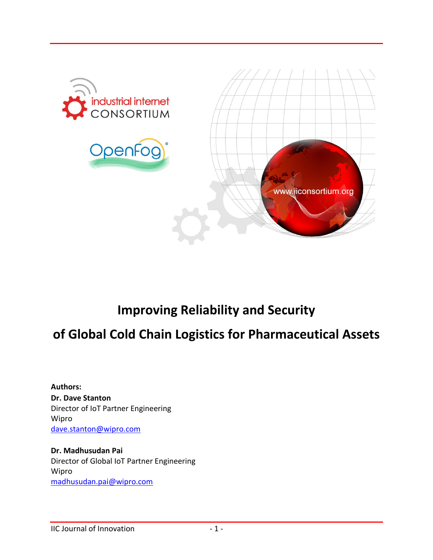

# **Improving Reliability and Security**

# **of Global Cold Chain Logistics for Pharmaceutical Assets**

**Authors: Dr. Dave Stanton** Director of IoT Partner Engineering Wipro [dave.stanton@wipro.com](mailto:dave.stanton@wipro.com)

**Dr. Madhusudan Pai** Director of Global IoT Partner Engineering Wipro [madhusudan.pai@wipro.com](mailto:madhusudan.pai@wipro.com)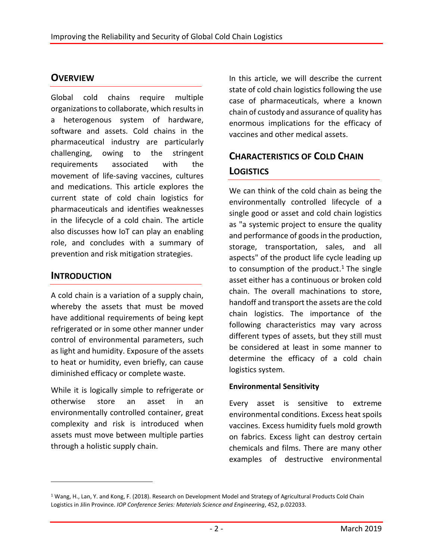### **OVERVIEW**

Global cold chains require multiple organizations to collaborate, which results in a heterogenous system of hardware, software and assets. Cold chains in the pharmaceutical industry are particularly challenging, owing to the stringent requirements associated with the movement of life-saving vaccines, cultures and medications. This article explores the current state of cold chain logistics for pharmaceuticals and identifies weaknesses in the lifecycle of a cold chain. The article also discusses how IoT can play an enabling role, and concludes with a summary of prevention and risk mitigation strategies.

### **INTRODUCTION**

 $\overline{a}$ 

A cold chain is a variation of a supply chain, whereby the assets that must be moved have additional requirements of being kept refrigerated or in some other manner under control of environmental parameters, such as light and humidity. Exposure of the assets to heat or humidity, even briefly, can cause diminished efficacy or complete waste.

While it is logically simple to refrigerate or otherwise store an asset in an environmentally controlled container, great complexity and risk is introduced when assets must move between multiple parties through a holistic supply chain.

In this article, we will describe the current state of cold chain logistics following the use case of pharmaceuticals, where a known chain of custody and assurance of quality has enormous implications for the efficacy of vaccines and other medical assets.

# **CHARACTERISTICS OF COLD CHAIN LOGISTICS**

We can think of the cold chain as being the environmentally controlled lifecycle of a single good or asset and cold chain logistics as "a systemic project to ensure the quality and performance of goods in the production, storage, transportation, sales, and all aspects" of the product life cycle leading up to consumption of the product.<sup>1</sup> The single asset either has a continuous or broken cold chain. The overall machinations to store, handoff and transport the assets are the cold chain logistics. The importance of the following characteristics may vary across different types of assets, but they still must be considered at least in some manner to determine the efficacy of a cold chain logistics system.

#### **Environmental Sensitivity**

Every asset is sensitive to extreme environmental conditions. Excess heat spoils vaccines. Excess humidity fuels mold growth on fabrics. Excess light can destroy certain chemicals and films. There are many other examples of destructive environmental

<sup>1</sup> Wang, H., Lan, Y. and Kong, F. (2018). Research on Development Model and Strategy of Agricultural Products Cold Chain Logistics in Jilin Province. *IOP Conference Series: Materials Science and Engineering*, 452, p.022033.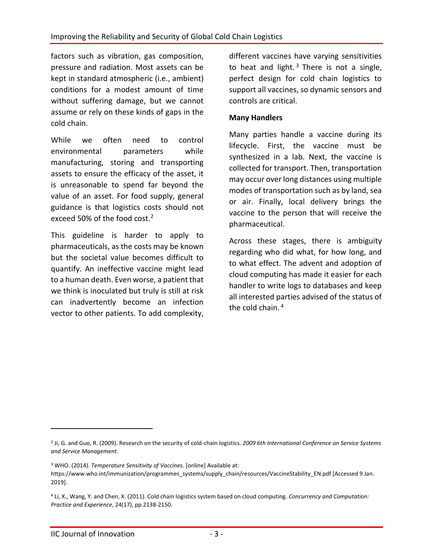factors such as vibration, gas composition, pressure and radiation. Most assets can be kept in standard atmospheric (i.e., ambient) conditions for a modest amount of time without suffering damage, but we cannot assume or rely on these kinds of gaps in the cold chain.

While we often need to control environmental parameters while manufacturing, storing and transporting assets to ensure the efficacy of the asset, it is unreasonable to spend far beyond the value of an asset. For food supply, general guidance is that logistics costs should not exceed 50% of the food cost. 2

This guideline is harder to apply to pharmaceuticals, as the costs may be known but the societal value becomes difficult to quantify. An ineffective vaccine might lead to a human death. Even worse, a patient that we think is inoculated but truly is still at risk can inadvertently become an infection vector to other patients. To add complexity,

different vaccines have varying sensitivities to heat and light.<sup>3</sup> There is not a single, perfect design for cold chain logistics to support all vaccines, so dynamic sensors and controls are critical.

#### **Many Handlers**

Many parties handle a vaccine during its lifecycle. First, the vaccine must be synthesized in a lab. Next, the vaccine is collected for transport. Then, transportation may occur over long distances using multiple modes of transportation such as by land, sea or air. Finally, local delivery brings the vaccine to the person that will receive the pharmaceutical.

Across these stages, there is ambiguity regarding who did what, for how long, and to what effect. The advent and adoption of cloud computing has made it easier for each handler to write logs to databases and keep all interested parties advised of the status of the cold chain.<sup>4</sup>

 $\overline{a}$ 

<sup>2</sup> Ji, G. and Guo, R. (2009). Research on the security of cold-chain logistics. *2009 6th International Conference on Service Systems and Service Management*.

<sup>3</sup> WHO. (2014). *Temperature Sensitivity of Vaccines*. [online] Available at: https://www.who.int/immunization/programmes\_systems/supply\_chain/resources/VaccineStability\_EN.pdf [Accessed 9 Jan. 2019].

<sup>4</sup> Li, X., Wang, Y. and Chen, X. (2011). Cold chain logistics system based on cloud computing. *Concurrency and Computation: Practice and Experience*, 24(17), pp.2138-2150.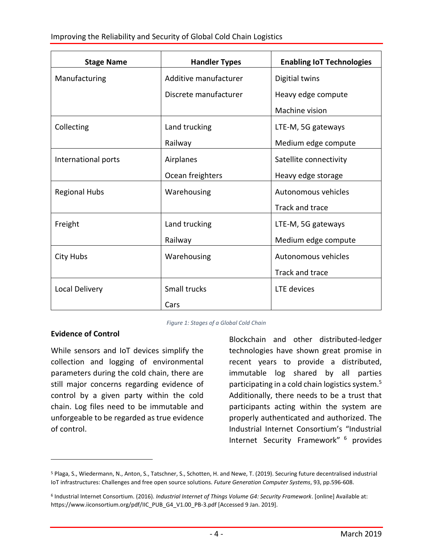| <b>Stage Name</b>    | <b>Handler Types</b>  | <b>Enabling IoT Technologies</b> |
|----------------------|-----------------------|----------------------------------|
| Manufacturing        | Additive manufacturer | Digitial twins                   |
|                      | Discrete manufacturer | Heavy edge compute               |
|                      |                       | Machine vision                   |
| Collecting           | Land trucking         | LTE-M, 5G gateways               |
|                      | Railway               | Medium edge compute              |
| International ports  | Airplanes             | Satellite connectivity           |
|                      | Ocean freighters      | Heavy edge storage               |
| <b>Regional Hubs</b> | Warehousing           | Autonomous vehicles              |
|                      |                       | Track and trace                  |
| Freight              | Land trucking         | LTE-M, 5G gateways               |
|                      | Railway               | Medium edge compute              |
| City Hubs            | Warehousing           | Autonomous vehicles              |
|                      |                       | Track and trace                  |
| Local Delivery       | Small trucks          | LTE devices                      |
|                      | Cars                  |                                  |

*Figure 1: Stages of a Global Cold Chain*

#### **Evidence of Control**

 $\overline{a}$ 

While sensors and IoT devices simplify the collection and logging of environmental parameters during the cold chain, there are still major concerns regarding evidence of control by a given party within the cold chain. Log files need to be immutable and unforgeable to be regarded as true evidence of control.

Blockchain and other distributed-ledger technologies have shown great promise in recent years to provide a distributed, immutable log shared by all parties participating in a cold chain logistics system. 5 Additionally, there needs to be a trust that participants acting within the system are properly authenticated and authorized. The Industrial Internet Consortium's "Industrial Internet Security Framework" <sup>6</sup> provides

<sup>5</sup> Plaga, S., Wiedermann, N., Anton, S., Tatschner, S., Schotten, H. and Newe, T. (2019). Securing future decentralised industrial IoT infrastructures: Challenges and free open source solutions. *Future Generation Computer Systems*, 93, pp.596-608.

<sup>6</sup> Industrial Internet Consortium. (2016). *Industrial Internet of Things Volume G4: Security Framework*. [online] Available at: https://www.iiconsortium.org/pdf/IIC\_PUB\_G4\_V1.00\_PB-3.pdf [Accessed 9 Jan. 2019].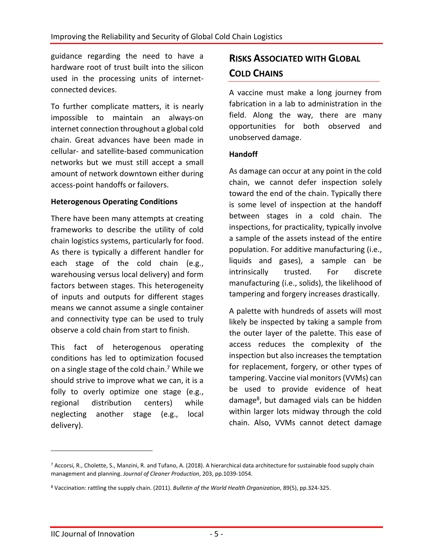guidance regarding the need to have a hardware root of trust built into the silicon used in the processing units of internetconnected devices.

To further complicate matters, it is nearly impossible to maintain an always-on internet connection throughout a global cold chain. Great advances have been made in cellular- and satellite-based communication networks but we must still accept a small amount of network downtown either during access-point handoffs or failovers.

#### **Heterogenous Operating Conditions**

There have been many attempts at creating frameworks to describe the utility of cold chain logistics systems, particularly for food. As there is typically a different handler for each stage of the cold chain (e.g., warehousing versus local delivery) and form factors between stages. This heterogeneity of inputs and outputs for different stages means we cannot assume a single container and connectivity type can be used to truly observe a cold chain from start to finish.

This fact of heterogenous operating conditions has led to optimization focused on a single stage of the cold chain. <sup>7</sup> While we should strive to improve what we can, it is a folly to overly optimize one stage (e.g., regional distribution centers) while neglecting another stage (e.g., local delivery).

## **RISKS ASSOCIATED WITH GLOBAL COLD CHAINS**

A vaccine must make a long journey from fabrication in a lab to administration in the field. Along the way, there are many opportunities for both observed and unobserved damage.

#### **Handoff**

As damage can occur at any point in the cold chain, we cannot defer inspection solely toward the end of the chain. Typically there is some level of inspection at the handoff between stages in a cold chain. The inspections, for practicality, typically involve a sample of the assets instead of the entire population. For additive manufacturing (i.e., liquids and gases), a sample can be intrinsically trusted. For discrete manufacturing (i.e., solids), the likelihood of tampering and forgery increases drastically.

A palette with hundreds of assets will most likely be inspected by taking a sample from the outer layer of the palette. This ease of access reduces the complexity of the inspection but also increases the temptation for replacement, forgery, or other types of tampering. Vaccine vial monitors (VVMs) can be used to provide evidence of heat damage<sup>8</sup>, but damaged vials can be hidden within larger lots midway through the cold chain. Also, VVMs cannot detect damage

 $\overline{a}$ 

<sup>7</sup> Accorsi, R., Cholette, S., Manzini, R. and Tufano, A. (2018). A hierarchical data architecture for sustainable food supply chain management and planning. *Journal of Cleaner Production*, 203, pp.1039-1054.

<sup>8</sup> Vaccination: rattling the supply chain. (2011). *Bulletin of the World Health Organization*, 89(5), pp.324-325.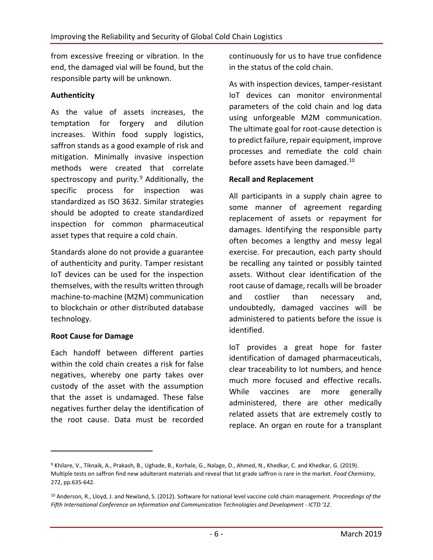from excessive freezing or vibration. In the end, the damaged vial will be found, but the responsible party will be unknown.

#### **Authenticity**

As the value of assets increases, the temptation for forgery and dilution increases. Within food supply logistics, saffron stands as a good example of risk and mitigation. Minimally invasive inspection methods were created that correlate spectroscopy and purity. $9$  Additionally, the specific process for inspection was standardized as ISO 3632. Similar strategies should be adopted to create standardized inspection for common pharmaceutical asset types that require a cold chain.

Standards alone do not provide a guarantee of authenticity and purity. Tamper resistant IoT devices can be used for the inspection themselves, with the results written through machine-to-machine (M2M) communication to blockchain or other distributed database technology.

#### **Root Cause for Damage**

 $\overline{a}$ 

Each handoff between different parties within the cold chain creates a risk for false negatives, whereby one party takes over custody of the asset with the assumption that the asset is undamaged. These false negatives further delay the identification of the root cause. Data must be recorded continuously for us to have true confidence in the status of the cold chain.

As with inspection devices, tamper-resistant IoT devices can monitor environmental parameters of the cold chain and log data using unforgeable M2M communication. The ultimate goal for root-cause detection is to predict failure, repair equipment, improve processes and remediate the cold chain before assets have been damaged.<sup>10</sup>

#### **Recall and Replacement**

All participants in a supply chain agree to some manner of agreement regarding replacement of assets or repayment for damages. Identifying the responsible party often becomes a lengthy and messy legal exercise. For precaution, each party should be recalling any tainted or possibly tainted assets. Without clear identification of the root cause of damage, recalls will be broader and costlier than necessary and, undoubtedly, damaged vaccines will be administered to patients before the issue is identified.

IoT provides a great hope for faster identification of damaged pharmaceuticals, clear traceability to lot numbers, and hence much more focused and effective recalls. While vaccines are more generally administered, there are other medically related assets that are extremely costly to replace. An organ en route for a transplant

<sup>9</sup> Khilare, V., Tiknaik, A., Prakash, B., Ughade, B., Korhale, G., Nalage, D., Ahmed, N., Khedkar, C. and Khedkar, G. (2019). Multiple tests on saffron find new adulterant materials and reveal that Ist grade saffron is rare in the market. *Food Chemistry*, 272, pp.635-642.

<sup>10</sup> Anderson, R., Lloyd, J. and Newland, S. (2012). Software for national level vaccine cold chain management. *Proceedings of the Fifth International Conference on Information and Communication Technologies and Development - ICTD '12*.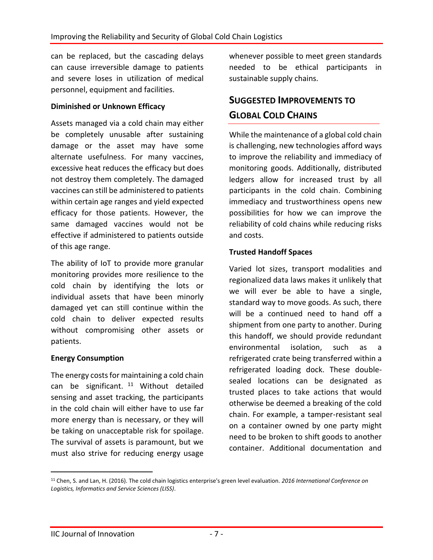can be replaced, but the cascading delays can cause irreversible damage to patients and severe loses in utilization of medical personnel, equipment and facilities.

#### **Diminished or Unknown Efficacy**

Assets managed via a cold chain may either be completely unusable after sustaining damage or the asset may have some alternate usefulness. For many vaccines, excessive heat reduces the efficacy but does not destroy them completely. The damaged vaccines can still be administered to patients within certain age ranges and yield expected efficacy for those patients. However, the same damaged vaccines would not be effective if administered to patients outside of this age range.

The ability of IoT to provide more granular monitoring provides more resilience to the cold chain by identifying the lots or individual assets that have been minorly damaged yet can still continue within the cold chain to deliver expected results without compromising other assets or patients.

#### **Energy Consumption**

The energy costs for maintaining a cold chain can be significant.  $11$  Without detailed sensing and asset tracking, the participants in the cold chain will either have to use far more energy than is necessary, or they will be taking on unacceptable risk for spoilage. The survival of assets is paramount, but we must also strive for reducing energy usage

whenever possible to meet green standards needed to be ethical participants in sustainable supply chains.

## **SUGGESTED IMPROVEMENTS TO GLOBAL COLD CHAINS**

While the maintenance of a global cold chain is challenging, new technologies afford ways to improve the reliability and immediacy of monitoring goods. Additionally, distributed ledgers allow for increased trust by all participants in the cold chain. Combining immediacy and trustworthiness opens new possibilities for how we can improve the reliability of cold chains while reducing risks and costs.

#### **Trusted Handoff Spaces**

Varied lot sizes, transport modalities and regionalized data laws makes it unlikely that we will ever be able to have a single, standard way to move goods. As such, there will be a continued need to hand off a shipment from one party to another. During this handoff, we should provide redundant environmental isolation, such as a refrigerated crate being transferred within a refrigerated loading dock. These doublesealed locations can be designated as trusted places to take actions that would otherwise be deemed a breaking of the cold chain. For example, a tamper-resistant seal on a container owned by one party might need to be broken to shift goods to another container. Additional documentation and

 $\overline{a}$ 

<sup>11</sup> Chen, S. and Lan, H. (2016). The cold chain logistics enterprise's green level evaluation. *2016 International Conference on Logistics, Informatics and Service Sciences (LISS)*.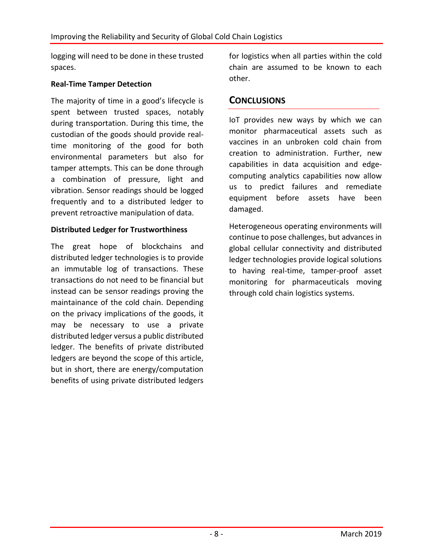logging will need to be done in these trusted spaces.

#### **Real-Time Tamper Detection**

The majority of time in a good's lifecycle is spent between trusted spaces, notably during transportation. During this time, the custodian of the goods should provide realtime monitoring of the good for both environmental parameters but also for tamper attempts. This can be done through a combination of pressure, light and vibration. Sensor readings should be logged frequently and to a distributed ledger to prevent retroactive manipulation of data.

#### **Distributed Ledger for Trustworthiness**

The great hope of blockchains and distributed ledger technologies is to provide an immutable log of transactions. These transactions do not need to be financial but instead can be sensor readings proving the maintainance of the cold chain. Depending on the privacy implications of the goods, it may be necessary to use a private distributed ledger versus a public distributed ledger. The benefits of private distributed ledgers are beyond the scope of this article, but in short, there are energy/computation benefits of using private distributed ledgers

for logistics when all parties within the cold chain are assumed to be known to each other.

### **CONCLUSIONS**

IoT provides new ways by which we can monitor pharmaceutical assets such as vaccines in an unbroken cold chain from creation to administration. Further, new capabilities in data acquisition and edgecomputing analytics capabilities now allow us to predict failures and remediate equipment before assets have been damaged.

Heterogeneous operating environments will continue to pose challenges, but advances in global cellular connectivity and distributed ledger technologies provide logical solutions to having real-time, tamper-proof asset monitoring for pharmaceuticals moving through cold chain logistics systems.